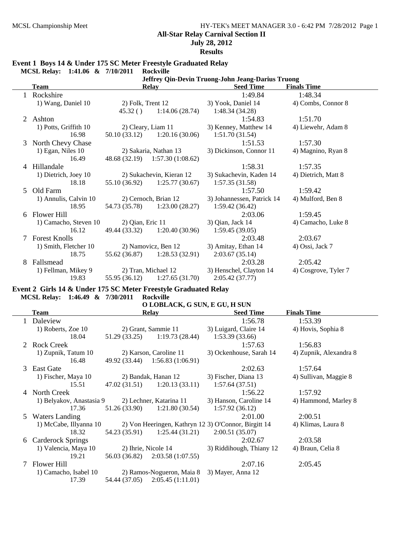**July 28, 2012**

**Results**

|                                                                                                                            | MCSL Relay: 1:41.06 & 7/10/2011 |                  | <b>Rockville</b>                |                            |                      |  |  |
|----------------------------------------------------------------------------------------------------------------------------|---------------------------------|------------------|---------------------------------|----------------------------|----------------------|--|--|
| Jeffrey Qin-Devin Truong-John Jeang-Darius Truong<br><b>Seed Time</b><br><b>Finals Time</b><br><b>Team</b><br><b>Relay</b> |                                 |                  |                                 |                            |                      |  |  |
|                                                                                                                            | Rockshire                       |                  |                                 | 1:49.84                    | 1:48.34              |  |  |
|                                                                                                                            | 1) Wang, Daniel 10              |                  | 2) Folk, Trent 12               | 3) Yook, Daniel 14         | 4) Combs, Connor 8   |  |  |
|                                                                                                                            |                                 |                  | $45.32()$ 1:14.06 (28.74)       | 1:48.34 (34.28)            |                      |  |  |
| 2                                                                                                                          | Ashton                          |                  |                                 | 1:54.83                    | 1:51.70              |  |  |
|                                                                                                                            | 1) Potts, Griffith 10           |                  | 2) Cleary, Liam 11              | 3) Kenney, Matthew 14      | 4) Liewehr, Adam 8   |  |  |
|                                                                                                                            | 16.98                           |                  | $50.10(33.12)$ $1:20.16(30.06)$ | 1:51.70(31.54)             |                      |  |  |
| 3                                                                                                                          | North Chevy Chase               |                  |                                 | 1:51.53                    | 1:57.30              |  |  |
|                                                                                                                            | 1) Egan, Niles 10               |                  | 2) Sakaria, Nathan 13           | 3) Dickinson, Connor 11    | 4) Magnino, Ryan 8   |  |  |
|                                                                                                                            | 16.49                           |                  | 48.68 (32.19) 1:57.30 (1:08.62) |                            |                      |  |  |
| 4                                                                                                                          | Hillandale                      |                  |                                 | 1:58.31                    | 1:57.35              |  |  |
|                                                                                                                            | 1) Dietrich, Joey 10            |                  | 2) Sukachevin, Kieran 12        | 3) Sukachevin, Kaden 14    | 4) Dietrich, Matt 8  |  |  |
|                                                                                                                            | 18.18                           |                  | $55.10(36.92)$ $1:25.77(30.67)$ | 1:57.35(31.58)             |                      |  |  |
| 5                                                                                                                          | Old Farm                        |                  |                                 | 1:57.50                    | 1:59.42              |  |  |
|                                                                                                                            | 1) Annulis, Calvin 10           |                  | 2) Cernoch, Brian 12            | 3) Johannessen, Patrick 14 | 4) Mulford, Ben 8    |  |  |
|                                                                                                                            | 18.95                           |                  | 54.73 (35.78) 1:23.00 (28.27)   | 1:59.42(36.42)             |                      |  |  |
| 6                                                                                                                          | Flower Hill                     |                  |                                 | 2:03.06                    | 1:59.45              |  |  |
|                                                                                                                            | 1) Camacho, Steven 10           | 2) Qian, Eric 11 |                                 | 3) Qian, Jack 14           | 4) Camacho, Luke 8   |  |  |
|                                                                                                                            | 16.12                           |                  | 49.44 (33.32) 1:20.40 (30.96)   | 1:59.45(39.05)             |                      |  |  |
| 7                                                                                                                          | <b>Forest Knolls</b>            |                  |                                 | 2:03.48                    | 2:03.67              |  |  |
|                                                                                                                            | 1) Smith, Fletcher 10           |                  | 2) Namovicz, Ben 12             | 3) Amitay, Ethan 14        | 4) Ossi, Jack 7      |  |  |
|                                                                                                                            | 18.75                           |                  | $55.62(36.87)$ 1:28.53(32.91)   | 2:03.67(35.14)             |                      |  |  |
| 8                                                                                                                          | Fallsmead                       |                  |                                 | 2:03.28                    | 2:05.42              |  |  |
|                                                                                                                            | 1) Fellman, Mikey 9             |                  | 2) Tran, Michael 12             | 3) Henschel, Clayton 14    | 4) Cosgrove, Tyler 7 |  |  |
|                                                                                                                            | 19.83                           |                  | $55.95(36.12)$ $1:27.65(31.70)$ | 2:05.42(37.77)             |                      |  |  |

#### **Event 1 Boys 14 & Under 175 SC Meter Freestyle Graduated Relay**

**Event 2 Girls 14 & Under 175 SC Meter Freestyle Graduated Relay MCSL Relay: 1:46.49 & 7/30/2011 Rockville**

#### **O LOBLACK, G SUN, E GU, H SUN**

|             | Team                     | <b>Relay</b>  |                           | <b>Seed Time</b>                                     | <b>Finals Time</b>     |
|-------------|--------------------------|---------------|---------------------------|------------------------------------------------------|------------------------|
|             | Daleview                 |               |                           | 1:56.78                                              | 1:53.39                |
|             | 1) Roberts, Zoe 10       |               | 2) Grant, Sammie 11       | 3) Luigard, Claire 14                                | 4) Hovis, Sophia 8     |
|             | 18.04                    | 51.29 (33.25) | 1:19.73(28.44)            | 1:53.39(33.66)                                       |                        |
| $2^{\circ}$ | <b>Rock Creek</b>        |               |                           | 1:57.63                                              | 1:56.83                |
|             | 1) Zupnik, Tatum 10      |               | 2) Karson, Caroline 11    | 3) Ockenhouse, Sarah 14                              | 4) Zupnik, Alexandra 8 |
|             | 16.48                    | 49.92 (33.44) | 1:56.83(1:06.91)          |                                                      |                        |
| 3           | East Gate                |               |                           | 2:02.63                                              | 1:57.64                |
|             | 1) Fischer, Maya 10      |               | 2) Bandak, Hanan 12       | 3) Fischer, Diana 13                                 | 4) Sullivan, Maggie 8  |
|             | 15.51                    | 47.02(31.51)  | 1:20.13(33.11)            | 1:57.64(37.51)                                       |                        |
| 4           | North Creek              |               |                           | 1:56.22                                              | 1:57.92                |
|             | 1) Belyakov, Anastasia 9 |               | 2) Lechner, Katarina 11   | 3) Hanson, Caroline 14                               | 4) Hammond, Marley 8   |
|             | 17.36                    | 51.26 (33.90) | 1:21.80(30.54)            | 1:57.92(36.12)                                       |                        |
| 5.          | <b>Waters Landing</b>    |               |                           | 2:01.00                                              | 2:00.51                |
|             | 1) McCabe, Illyanna 10   |               |                           | 2) Von Heeringen, Kathryn 12 3) O'Connor, Birgitt 14 | 4) Klimas, Laura 8     |
|             | 18.32                    | 54.23 (35.91) | 1:25.44(31.21)            | 2:00.51(35.07)                                       |                        |
| 6           | Carderock Springs        |               |                           | 2:02.67                                              | 2:03.58                |
|             | 1) Valencia, Maya 10     |               | 2) Ihrie, Nicole 14       | 3) Riddihough, Thiany 12                             | 4) Braun, Celia 8      |
|             | 19.21                    | 56.03 (36.82) | 2:03.58(1:07.55)          |                                                      |                        |
|             | Flower Hill              |               |                           | 2:07.16                                              | 2:05.45                |
|             | 1) Camacho, Isabel 10    |               | 2) Ramos-Nogueron, Maia 8 | 3) Mayer, Anna 12                                    |                        |
|             | 17.39                    | 54.44 (37.05) | 2:05.45(1:11.01)          |                                                      |                        |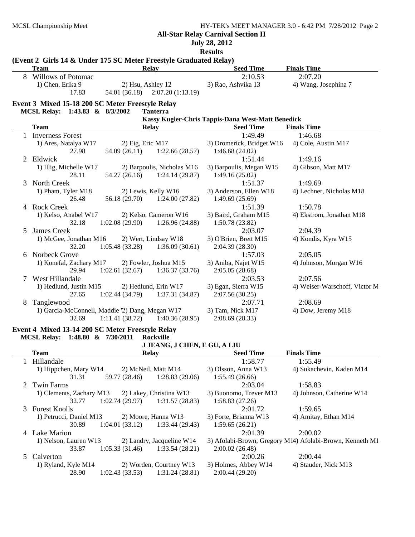**July 28, 2012**

**Results**

|              | (Event 2 Girls 14 & Under 175 SC Meter Freestyle Graduated Relay)<br><b>Team</b> | <b>Relay</b>        |                                 | <b>Seed Time</b>                                  | <b>Finals Time</b>                                       |
|--------------|----------------------------------------------------------------------------------|---------------------|---------------------------------|---------------------------------------------------|----------------------------------------------------------|
| 8            | Willows of Potomac                                                               |                     |                                 | 2:10.53                                           | 2:07.20                                                  |
|              | 1) Chen, Erika 9                                                                 | 2) Hsu, Ashley 12   |                                 | 3) Rao, Ashvika 13                                | 4) Wang, Josephina 7                                     |
|              | 17.83                                                                            |                     | 54.01 (36.18) 2:07.20 (1:13.19) |                                                   |                                                          |
|              | Event 3 Mixed 15-18 200 SC Meter Freestyle Relay                                 |                     |                                 |                                                   |                                                          |
|              | MCSL Relay: 1:43.83 & 8/3/2002                                                   |                     | <b>Tanterra</b>                 |                                                   |                                                          |
|              |                                                                                  |                     |                                 | Kassy Kugler-Chris Tappis-Dana West-Matt Benedick |                                                          |
|              | <b>Team</b>                                                                      | <b>Relay</b>        |                                 | <b>Seed Time</b>                                  | <b>Finals Time</b>                                       |
|              | 1 Inverness Forest                                                               |                     |                                 | 1:49.49                                           | 1:46.68                                                  |
|              | 1) Ares, Natalya W17                                                             | $2)$ Eig, Eric M17  |                                 | 3) Dromerick, Bridget W16                         | 4) Cole, Austin M17                                      |
|              | 27.98                                                                            | 54.09 (26.11)       | 1:22.66(28.57)                  | 1:46.68(24.02)                                    |                                                          |
| 2            | Eldwick                                                                          |                     |                                 | 1:51.44                                           | 1:49.16                                                  |
|              | 1) Illig, Michelle W17                                                           |                     | 2) Barpoulis, Nicholas M16      | 3) Barpoulis, Megan W15                           | 4) Gibson, Matt M17                                      |
|              | 28.11                                                                            | 54.27 (26.16)       | 1:24.14(29.87)                  | 1:49.16(25.02)                                    |                                                          |
| 3            | North Creek                                                                      |                     |                                 | 1:51.37                                           | 1:49.69                                                  |
|              | 1) Pham, Tyler M18                                                               | 2) Lewis, Kelly W16 |                                 | 3) Anderson, Ellen W18                            | 4) Lechner, Nicholas M18                                 |
|              | 26.48                                                                            | 56.18 (29.70)       | 1:24.00(27.82)                  | 1:49.69(25.69)                                    |                                                          |
|              | 4 Rock Creek                                                                     |                     |                                 | 1:51.39                                           | 1:50.78                                                  |
|              | 1) Kelso, Anabel W17                                                             |                     | 2) Kelso, Cameron W16           | 3) Baird, Graham M15                              | 4) Ekstrom, Jonathan M18                                 |
|              | 32.18                                                                            | 1:02.08(29.90)      | 1:26.96(24.88)                  | 1:50.78(23.82)                                    |                                                          |
| 5            | James Creek                                                                      |                     |                                 | 2:03.07                                           | 2:04.39                                                  |
|              | 1) McGee, Jonathan M16                                                           |                     | 2) Wert, Lindsay W18            | 3) O'Brien, Brett M15                             | 4) Kondis, Kyra W15                                      |
|              | 32.20                                                                            | 1:05.48(33.28)      | 1:36.09(30.61)                  | 2:04.39 (28.30)                                   |                                                          |
| 6            | Norbeck Grove                                                                    |                     |                                 | 1:57.03                                           | 2:05.05                                                  |
|              | 1) Konefal, Zachary M17                                                          |                     | 2) Fowler, Joshua M15           | 3) Aniba, Najet W15                               | 4) Johnson, Morgan W16                                   |
|              | 29.94                                                                            | 1:02.61(32.67)      | 1:36.37(33.76)                  | 2:05.05(28.68)                                    |                                                          |
| 7            | West Hillandale                                                                  |                     | 2) Hedlund, Erin W17            | 2:03.53<br>3) Egan, Sierra W15                    | 2:07.56<br>4) Weiser-Warschoff, Victor M                 |
|              | 1) Hedlund, Justin M15<br>27.65                                                  | 1:02.44(34.79)      | 1:37.31 (34.87)                 | 2:07.56(30.25)                                    |                                                          |
| 8            | Tanglewood                                                                       |                     |                                 | 2:07.71                                           | 2:08.69                                                  |
|              | 1) Garcia-McConnell, Maddie '2) Dang, Megan W17                                  |                     |                                 | 3) Tam, Nick M17                                  | 4) Dow, Jeremy M18                                       |
|              | 32.69                                                                            | 1:11.41(38.72)      | 1:40.36(28.95)                  | 2:08.69(28.33)                                    |                                                          |
|              |                                                                                  |                     |                                 |                                                   |                                                          |
|              | Event 4 Mixed 13-14 200 SC Meter Freestyle Relay                                 |                     |                                 |                                                   |                                                          |
|              | MCSL Relay: 1:48.80 & 7/30/2011                                                  |                     | <b>Rockville</b>                |                                                   |                                                          |
|              |                                                                                  | <b>Relay</b>        | J JEANG, J CHEN, E GU, A LIU    | <b>Seed Time</b>                                  | <b>Finals Time</b>                                       |
|              | <b>Team</b><br>Hillandale                                                        |                     |                                 | 1:58.77                                           | 1:55.49                                                  |
| $\mathbf{1}$ | 1) Hippchen, Mary W14                                                            |                     | 2) McNeil, Matt M14             | 3) Olsson, Anna W13                               | 4) Sukachevin, Kaden M14                                 |
|              | 31.31                                                                            | 59.77 (28.46)       | 1:28.83(29.06)                  | 1:55.49(26.66)                                    |                                                          |
| 2            | <b>Twin Farms</b>                                                                |                     |                                 | 2:03.04                                           | 1:58.83                                                  |
|              | 1) Clements, Zachary M13                                                         |                     | 2) Lakey, Christina W13         | 3) Buonomo, Trever M13                            | 4) Johnson, Catherine W14                                |
|              | 32.77                                                                            | 1:02.74(29.97)      | 1:31.57(28.83)                  | 1:58.83(27.26)                                    |                                                          |
| 3            | <b>Forest Knolls</b>                                                             |                     |                                 | 2:01.72                                           | 1:59.65                                                  |
|              | 1) Petrucci, Daniel M13                                                          |                     | 2) Moore, Hanna W13             | 3) Forte, Brianna W13                             | 4) Amitay, Ethan M14                                     |
|              | 30.89                                                                            | 1:04.01(33.12)      | 1:33.44(29.43)                  | 1:59.65(26.21)                                    |                                                          |
| 4            | <b>Lake Marion</b>                                                               |                     |                                 | 2:01.39                                           | 2:00.02                                                  |
|              | 1) Nelson, Lauren W13                                                            |                     | 2) Landry, Jacqueline W14       |                                                   | 3) Afolabi-Brown, Gregory M14) Afolabi-Brown, Kenneth M1 |
|              | 33.87                                                                            | 1:05.33(31.46)      | 1:33.54(28.21)                  | 2:00.02(26.48)                                    |                                                          |
| 5            | Calverton                                                                        |                     |                                 | 2:00.26                                           | 2:00.44                                                  |
|              | 1) Ryland, Kyle M14                                                              |                     | 2) Worden, Courtney W13         | 3) Holmes, Abbey W14                              | 4) Stauder, Nick M13                                     |
|              | 28.90                                                                            | 1:02.43(33.53)      | 1:31.24(28.81)                  | 2:00.44(29.20)                                    |                                                          |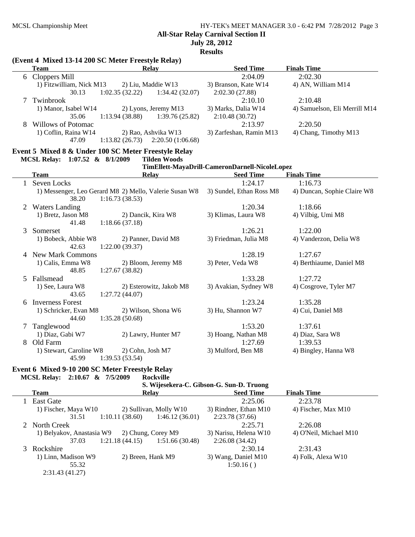**All-Star Relay Carnival Section II**

**July 28, 2012**

**Results**

|              | <b>Team</b>                                            | Relay                               |                         | <b>Seed Time</b>                               | <b>Finals Time</b>                  |
|--------------|--------------------------------------------------------|-------------------------------------|-------------------------|------------------------------------------------|-------------------------------------|
|              | 6 Cloppers Mill                                        |                                     |                         | 2:04.09                                        | 2:02.30                             |
|              | 1) Fitzwilliam, Nick M13                               | 2) Liu, Maddie W13                  |                         | 3) Branson, Kate W14                           | 4) AN, William M14                  |
|              | 30.13                                                  | 1:02.35(32.22)                      | 1:34.42(32.07)          | 2:02.30 (27.88)                                |                                     |
| 7            | Twinbrook                                              |                                     |                         | 2:10.10                                        | 2:10.48                             |
|              | 1) Manor, Isabel W14                                   | 2) Lyons, Jeremy M13                |                         | 3) Marks, Dalia W14                            | 4) Samuelson, Eli Merrill M14       |
|              | 35.06                                                  | 1:13.94(38.88)                      | 1:39.76 (25.82)         | 2:10.48 (30.72)                                |                                     |
| 8            | Willows of Potomac                                     |                                     |                         | 2:13.97                                        | 2:20.50                             |
|              | 1) Coflin, Raina W14                                   | 2) Rao, Ashvika W13                 |                         | 3) Zarfeshan, Ramin M13                        | 4) Chang, Timothy M13               |
|              | 47.09                                                  | $1:13.82(26.73)$ $2:20.50(1:06.68)$ |                         |                                                |                                     |
|              | Event 5 Mixed 8 & Under 100 SC Meter Freestyle Relay   |                                     |                         |                                                |                                     |
|              | MCSL Relay: 1:07.52 & 8/1/2009                         |                                     | <b>Tilden Woods</b>     |                                                |                                     |
|              |                                                        |                                     |                         | TimEllett-MayaDrill-CameronDarnell-NicoleLopez |                                     |
|              | <b>Team</b>                                            | Relay                               |                         | <b>Seed Time</b>                               | <b>Finals Time</b>                  |
| $\mathbf{1}$ | Seven Locks                                            |                                     |                         | 1:24.17                                        | 1:16.73                             |
|              | 1) Messenger, Leo Gerard M8 2) Mello, Valerie Susan W8 |                                     |                         | 3) Sundel, Ethan Ross M8                       | 4) Duncan, Sophie Claire W8         |
|              | 38.20                                                  | 1:16.73(38.53)                      |                         |                                                |                                     |
| 2            | <b>Waters Landing</b>                                  |                                     |                         | 1:20.34                                        | 1:18.66                             |
|              | 1) Bretz, Jason M8                                     | 2) Dancik, Kira W8                  |                         | 3) Klimas, Laura W8                            | 4) Vilbig, Umi M8                   |
|              | 41.48                                                  | 1:18.66(37.18)                      |                         |                                                |                                     |
| 3            | Somerset                                               |                                     |                         | 1:26.21                                        | 1:22.00                             |
|              | 1) Bobeck, Abbie W8                                    | 2) Panner, David M8                 |                         | 3) Friedman, Julia M8                          | 4) Vanderzon, Delia W8              |
|              | 42.63                                                  | 1:22.00(39.37)                      |                         |                                                |                                     |
| 4            | <b>New Mark Commons</b><br>1) Calis, Emma W8           | 2) Bloom, Jeremy M8                 |                         | 1:28.19<br>3) Peter, Veda W8                   | 1:27.67<br>4) Berthiaume, Daniel M8 |
|              | 48.85                                                  | 1:27.67(38.82)                      |                         |                                                |                                     |
| 5            | Fallsmead                                              |                                     |                         | 1:33.28                                        | 1:27.72                             |
|              | 1) See, Laura W8                                       |                                     | 2) Esterowitz, Jakob M8 | 3) Avakian, Sydney W8                          | 4) Cosgrove, Tyler M7               |
|              | 43.65                                                  | 1:27.72(44.07)                      |                         |                                                |                                     |
| 6            | <b>Inverness Forest</b>                                |                                     |                         | 1:23.24                                        | 1:35.28                             |
|              | 1) Schricker, Evan M8                                  | 2) Wilson, Shona W6                 |                         | 3) Hu, Shannon W7                              | 4) Cui, Daniel M8                   |
|              | 44.60                                                  | 1:35.28(50.68)                      |                         |                                                |                                     |
| 7            | Tanglewood                                             |                                     |                         | 1:53.20                                        | 1:37.61                             |
|              | 1) Diaz, Gabi W7                                       | 2) Lawry, Hunter M7                 |                         | 3) Hoang, Nathan M8                            | 4) Diaz, Sara W8                    |
|              | 8 Old Farm                                             |                                     |                         | 1:27.69                                        | 1:39.53                             |
|              | 1) Stewart, Caroline W8                                | 2) Cohn, Josh M7                    |                         | 3) Mulford, Ben M8                             | 4) Bingley, Hanna W8                |
|              | 45.99                                                  | 1:39.53(53.54)                      |                         |                                                |                                     |
|              | Event 6 Mixed 9-10 200 SC Meter Freestyle Relay        |                                     |                         |                                                |                                     |

# **MCSL Relay: 2:10.67 & 7/5/2009 Rockville**

|                                          |       |                | коскуше                |                       |                        |  |  |  |
|------------------------------------------|-------|----------------|------------------------|-----------------------|------------------------|--|--|--|
| S. Wijesekera-C. Gibson-G. Sun-D. Truong |       |                |                        |                       |                        |  |  |  |
| Team                                     |       |                | <b>Relay</b>           | <b>Seed Time</b>      | <b>Finals Time</b>     |  |  |  |
| 1 East Gate                              |       |                |                        | 2:25.06               | 2:23.78                |  |  |  |
| 1) Fischer, Maya W10                     |       |                | 2) Sullivan, Molly W10 | 3) Rindner, Ethan M10 | 4) Fischer, Max M10    |  |  |  |
|                                          | 31.51 | 1:10.11(38.60) | 1:46.12(36.01)         | 2:23.78(37.66)        |                        |  |  |  |
| 2 North Creek                            |       |                |                        | 2:25.71               | 2:26.08                |  |  |  |
| 1) Belyakov, Anastasia W9                |       |                | 2) Chung, Corey M9     | 3) Narisu, Helena W10 | 4) O'Neil, Michael M10 |  |  |  |
|                                          | 37.03 | 1:21.18(44.15) | 1:51.66(30.48)         | 2:26.08(34.42)        |                        |  |  |  |
| 3 Rockshire                              |       |                |                        | 2:30.14               | 2:31.43                |  |  |  |
| 1) Linn, Madison W9                      |       |                | 2) Breen, Hank M9      | 3) Wang, Daniel M10   | 4) Folk, Alexa W10     |  |  |  |
|                                          | 55.32 |                |                        | 1:50.16()             |                        |  |  |  |
| 2:31.43(41.27)                           |       |                |                        |                       |                        |  |  |  |

## **(Event 4 Mixed 13-14 200 SC Meter Freestyle Relay)**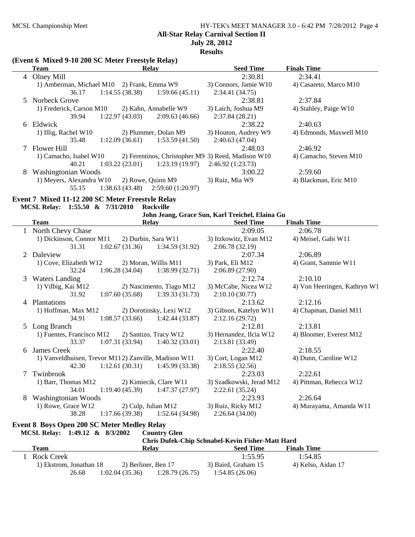**All-Star Relay Carnival Section II**

**July 28, 2012**

**Results**

#### **(Event 6 Mixed 9-10 200 SC Meter Freestyle Relay)**

|   | Team                                       | <b>Relay</b>                                       | <b>Seed Time</b>      | <b>Finals Time</b>      |
|---|--------------------------------------------|----------------------------------------------------|-----------------------|-------------------------|
|   | 4 Olney Mill                               |                                                    | 2:30.81               | 2:34.41                 |
|   | 1) Amberman, Michael M10 2) Frank, Emma W9 |                                                    | 3) Connors, Jamie W10 | 4) Casareto, Marco M10  |
|   | 36.17                                      | 1:14.55(38.38)<br>1:59.66(45.11)                   | 2:34.41(34.75)        |                         |
|   | 5 Norbeck Grove                            |                                                    | 2:38.81               | 2:37.84                 |
|   | 1) Frederick, Carson M10                   | 2) Kahn, Annabelle W9                              | 3) Laich, Joshua M9   | 4) Stahley, Paige W10   |
|   | 39.94                                      | 1:22.97 (43.03)<br>2:09.63(46.66)                  | 2:37.84(28.21)        |                         |
|   | 6 Eldwick                                  |                                                    | 2:38.22               | 2:40.63                 |
|   | 1) Illig, Rachel W10                       | 2) Plummer, Dolan M9                               | 3) Houton, Audrey W9  | 4) Edmonds, Maxwell M10 |
|   | 35.48                                      | $1:12.09(36.61)$ $1:53.59(41.50)$                  | 2:40.63(47.04)        |                         |
|   | 7 Flower Hill                              |                                                    | 2:48.03               | 2:46.92                 |
|   | 1) Camacho, Isabel W10                     | 2) Ferentinos, Christopher M9 3) Reed, Madison W10 |                       | 4) Camacho, Steven M10  |
|   | 40.21                                      | 1:03.22(23.01)<br>1:23.19(19.97)                   | 2:46.92(1:23.73)      |                         |
| 8 | Washingtonian Woods                        |                                                    | 3:00.22               | 2:59.60                 |
|   | 1) Meyers, Alexandra W10                   | 2) Rowe, Quinn M9                                  | 3) Ruiz, Mia W9       | 4) Blackman, Eric M10   |
|   | 55.15                                      | $1:38.63(43.48)$ $2:59.60(1:20.97)$                |                       |                         |

## **Event 7 Mixed 11-12 200 SC Meter Freestyle Relay**

#### **MCSL Relay: 1:55.50 & 7/31/2010 Rockville**

|  |  | John Jeang, Grace Sun, Karl Treichel, Elaina Gu |  |
|--|--|-------------------------------------------------|--|
|--|--|-------------------------------------------------|--|

| <b>Team</b> |                                                      | <b>Relay</b>           |                                   | <b>Seed Time</b>         | <b>Finals Time</b>           |  |
|-------------|------------------------------------------------------|------------------------|-----------------------------------|--------------------------|------------------------------|--|
|             | North Chevy Chase                                    |                        |                                   | 2:09.05                  | 2:06.78                      |  |
|             | 1) Dickinson, Connor M11                             |                        | 2) Durbin, Sara W11               | 3) Itzkowitz, Evan M12   | 4) Meisel, Gabi W11          |  |
|             | 31.31                                                | 1:02.67(31.36)         | 1:34.59(31.92)                    | 2:06.78(32.19)           |                              |  |
| 2           | Daleview                                             |                        |                                   | 2:07.34                  | 2:06.89                      |  |
|             | 1) Cove, Elizabeth W12                               |                        | 2) Moran, Willis M11              | 3) Park, Eli M12         | 4) Grant, Sammie W11         |  |
|             | 32.24                                                | 1:06.28(34.04)         | 1:38.99(32.71)                    | 2:06.89(27.90)           |                              |  |
| 3           | <b>Waters Landing</b>                                |                        |                                   | 2:12.74                  | 2:10.10                      |  |
|             | 1) Vilbig, Kai M12                                   |                        | 2) Nascimento, Tiago M12          | 3) McCabe, Nicea W12     | 4) Von Heeringen, Kathryn W1 |  |
|             | 31.92                                                | 1:07.60(35.68)         | 1:39.33(31.73)                    | 2:10.10(30.77)           |                              |  |
| 4           | <b>Plantations</b>                                   |                        |                                   | 2:13.62                  | 2:12.16                      |  |
|             | 1) Hoffman, Max M12                                  |                        | 2) Dorotinsky, Lexi W12           | 3) Gibson, Katelyn W11   | 4) Chapman, Daniel M11       |  |
|             | 34.91                                                |                        | $1:08.57(33.66)$ 1:42.44 (33.87)  | 2:12.16(29.72)           |                              |  |
|             | 5 Long Branch                                        |                        |                                   | 2:12.81                  | 2:13.81                      |  |
|             | 1) Fuentes, Francisco M12 (2) Santizo, Tracy W12     |                        |                                   | 3) Hernandez, Ilcia W12  | 4) Bloomer, Everest M12      |  |
|             | 33.37                                                |                        | $1:07.31(33.94)$ $1:40.32(33.01)$ | 2:13.81 (33.49)          |                              |  |
| 6           | James Creek                                          |                        |                                   | 2:22.40                  | 2:18.55                      |  |
|             | 1) Vanveldhuisen, Trevor M112) Zanville, Madison W11 |                        |                                   | 3) Cort, Logan M12       | 4) Dunn, Caroline W12        |  |
|             | 42.30                                                |                        | $1:12.61(30.31)$ $1:45.99(33.38)$ | 2:18.55(32.56)           |                              |  |
| 7           | Twinbrook                                            |                        |                                   | 2:23.03                  | 2:22.61                      |  |
|             | 1) Barr, Thomas M12                                  | 2) Kimiecik, Clare W11 |                                   | 3) Szadkowski, Jerad M12 | 4) Pittman, Rebecca W12      |  |
|             | 34.01                                                |                        | $1:19.40(45.39)$ $1:47.37(27.97)$ | 2:22.61(35.24)           |                              |  |
| 8           | Washingtonian Woods                                  |                        |                                   | 2:23.93                  | 2:26.64                      |  |
|             | 1) Rowe, Grace W12                                   |                        | 2) Culp, Julian M12               | 3) Ruiz, Ricky M12       | 4) Murayama, Amanda W11      |  |
|             | 38.28                                                |                        | $1:17.66(39.38)$ $1:52.64(34.98)$ | 2:26.64(34.00)           |                              |  |

#### **Event 8 Boys Open 200 SC Meter Medley Relay**

**MCSL Relay: 1:49.12 & 8/3/2002 Country Glen**

| Chris Dufek-Chip Schnabel-Kevin Fisher-Matt Hard |                     |                |                     |                    |  |  |  |
|--------------------------------------------------|---------------------|----------------|---------------------|--------------------|--|--|--|
| Team                                             | Relav               |                | <b>Seed Time</b>    | <b>Finals Time</b> |  |  |  |
| Rock Creek                                       |                     |                | 1:55.95             | 1:54.85            |  |  |  |
| 1) Ekstrom, Jonathan 18                          | 2) Berliner, Ben 17 |                | 3) Baird, Graham 15 | 4) Kelso, Aidan 17 |  |  |  |
| 26.68                                            | 1:02.04(35.36)      | 1:28.79(26.75) | 1:54.85(26.06)      |                    |  |  |  |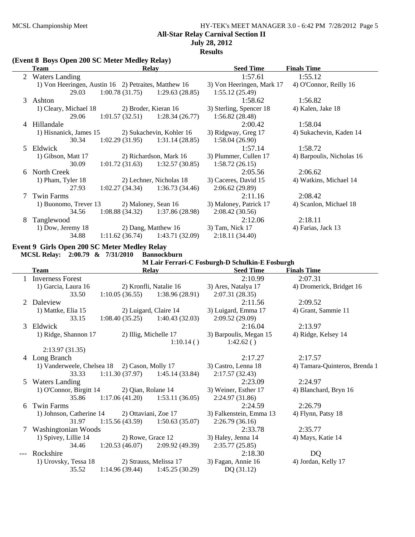## MCSL Championship Meet HY-TEK's MEET MANAGER 3.0 - 6:42 PM 7/28/2012 Page 5 **All-Star Relay Carnival Section II July 28, 2012**

**Results**

**(Event 8 Boys Open 200 SC Meter Medley Relay)**

|   | Relay<br>Team                                        |                                   | <b>Seed Time</b>         | <b>Finals Time</b>        |                           |
|---|------------------------------------------------------|-----------------------------------|--------------------------|---------------------------|---------------------------|
| 2 | <b>Waters Landing</b>                                |                                   |                          | 1:57.61                   | 1:55.12                   |
|   | 1) Von Heeringen, Austin 16 2) Petraites, Matthew 16 |                                   |                          | 3) Von Heeringen, Mark 17 | 4) O'Connor, Reilly 16    |
|   | 29.03                                                | $1:00.78(31.75)$ $1:29.63(28.85)$ |                          | 1:55.12(25.49)            |                           |
|   | 3 Ashton                                             |                                   |                          | 1:58.62                   | 1:56.82                   |
|   | 1) Cleary, Michael 18                                | 2) Broder, Kieran 16              |                          | 3) Sterling, Spencer 18   | 4) Kalen, Jake 18         |
|   | 29.06                                                | $1:01.57(32.51)$ $1:28.34(26.77)$ |                          | 1:56.82(28.48)            |                           |
|   | 4 Hillandale                                         |                                   |                          | 2:00.42                   | 1:58.04                   |
|   | 1) Hisnanick, James 15                               |                                   | 2) Sukachevin, Kohler 16 | 3) Ridgway, Greg 17       | 4) Sukachevin, Kaden 14   |
|   | 30.34                                                | $1:02.29(31.95)$ $1:31.14(28.85)$ |                          | 1:58.04(26.90)            |                           |
|   | 5 Eldwick                                            |                                   |                          | 1:57.14                   | 1:58.72                   |
|   | 1) Gibson, Matt 17                                   |                                   | 2) Richardson, Mark 16   | 3) Plummer, Cullen 17     | 4) Barpoulis, Nicholas 16 |
|   | 30.09                                                | $1:01.72(31.63)$ $1:32.57(30.85)$ |                          | 1:58.72(26.15)            |                           |
|   | 6 North Creek                                        |                                   |                          | 2:05.56                   | 2:06.62                   |
|   | 1) Pham, Tyler 18                                    |                                   | 2) Lechner, Nicholas 18  | 3) Caceres, David 15      | 4) Watkins, Michael 14    |
|   | 27.93                                                | $1:02.27(34.34)$ $1:36.73(34.46)$ |                          | 2:06.62(29.89)            |                           |
|   | Twin Farms                                           |                                   |                          | 2:11.16                   | 2:08.42                   |
|   | 1) Buonomo, Trever 13                                | 2) Maloney, Sean 16               |                          | 3) Maloney, Patrick 17    | 4) Scanlon, Michael 18    |
|   | 34.56                                                | $1:08.88(34.32)$ $1:37.86(28.98)$ |                          | 2:08.42(30.56)            |                           |
| 8 | Tanglewood                                           |                                   |                          | 2:12.06                   | 2:18.11                   |
|   | 1) Dow, Jeremy 18                                    |                                   | 2) Dang, Matthew 16      | 3) Tam, Nick 17           | 4) Farias, Jack 13        |
|   | 34.88                                                | $1:11.62(36.74)$ $1:43.71(32.09)$ |                          | 2:18.11(34.40)            |                           |

## **Event 9 Girls Open 200 SC Meter Medley Relay**

**MCSL Relay: 2:00.79 & 7/31/2010 Bannockburn**

|  |  |  | M Lair Ferrari-C Fosburgh-D Schulkin-E Fosburgh |  |  |
|--|--|--|-------------------------------------------------|--|--|
|--|--|--|-------------------------------------------------|--|--|

| <b>Team</b> |                            | <b>Relay</b>       |                                   | <b>Seed Time</b>        | <b>Finals Time</b>            |  |
|-------------|----------------------------|--------------------|-----------------------------------|-------------------------|-------------------------------|--|
|             | <b>Inverness Forest</b>    |                    |                                   | 2:10.99                 | 2:07.31                       |  |
|             | 1) Garcia, Laura 16        |                    | 2) Kronfli, Natalie 16            | 3) Ares, Natalya 17     | 4) Dromerick, Bridget 16      |  |
|             | 33.50                      |                    | $1:10.05(36.55)$ $1:38.96(28.91)$ | 2:07.31(28.35)          |                               |  |
|             | Daleview                   |                    |                                   | 2:11.56                 | 2:09.52                       |  |
|             | 1) Mattke, Elia 15         |                    | 2) Luigard, Claire 14             | 3) Luigard, Emma 17     | 4) Grant, Sammie 11           |  |
|             | 33.15                      | 1:08.40(35.25)     | 1:40.43(32.03)                    | 2:09.52(29.09)          |                               |  |
| 3           | Eldwick                    |                    |                                   | 2:16.04                 | 2:13.97                       |  |
|             | 1) Ridge, Shannon 17       |                    | 2) Illig, Michelle 17             | 3) Barpoulis, Megan 15  | 4) Ridge, Kelsey 14           |  |
|             |                            |                    | 1:10.14()                         | 1:42.62()               |                               |  |
|             | 2:13.97(31.35)             |                    |                                   |                         |                               |  |
|             | 4 Long Branch              |                    |                                   | 2:17.27                 | 2:17.57                       |  |
|             | 1) Vanderweele, Chelsea 18 | 2) Cason, Molly 17 |                                   | 3) Castro, Lenna 18     | 4) Tamara-Quinteros, Brenda 1 |  |
|             | 33.33                      |                    | $1:11.30(37.97)$ $1:45.14(33.84)$ | 2:17.57(32.43)          |                               |  |
| 5           | <b>Waters Landing</b>      |                    |                                   | 2:23.09                 | 2:24.97                       |  |
|             | 1) O'Connor, Birgitt 14    | 2) Qian, Rolane 14 |                                   | 3) Weiner, Esther 17    | 4) Blanchard, Bryn 16         |  |
|             | 35.86                      |                    | $1:17.06(41.20)$ $1:53.11(36.05)$ | 2:24.97 (31.86)         |                               |  |
| 6           | <b>Twin Farms</b>          |                    |                                   | 2:24.59                 | 2:26.79                       |  |
|             | 1) Johnson, Catherine 14   |                    | 2) Ottaviani, Zoe 17              | 3) Falkenstein, Emma 13 | 4) Flynn, Patsy 18            |  |
|             | 31.97                      |                    | $1:15.56(43.59)$ $1:50.63(35.07)$ | 2:26.79(36.16)          |                               |  |
|             | Washingtonian Woods        |                    |                                   | 2:33.78                 | 2:35.77                       |  |
|             | 1) Spivey, Lillie 14       | 2) Rowe, Grace 12  |                                   | 3) Haley, Jenna 14      | 4) Mays, Katie 14             |  |
|             | 34.46                      |                    | $1:20.53(46.07)$ $2:09.92(49.39)$ | 2:35.77(25.85)          |                               |  |
|             | Rockshire                  |                    |                                   | 2:18.30                 | DQ                            |  |
|             | 1) Urovsky, Tessa 18       |                    | 2) Strauss, Melissa 17            | 3) Fagan, Annie 16      | 4) Jordan, Kelly 17           |  |
|             | 35.52                      | 1:14.96(39.44)     | 1:45.25(30.29)                    | DQ (31.12)              |                               |  |
|             |                            |                    |                                   |                         |                               |  |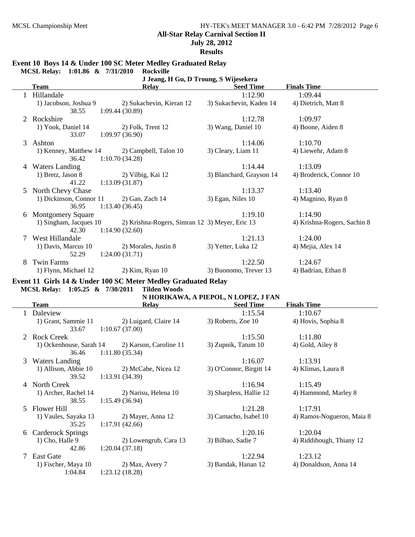**July 28, 2012**

**Results**

#### **Event 10 Boys 14 & Under 100 SC Meter Medley Graduated Relay**

**MCSL Relay: 1:01.86 & 7/31/2010 Rockville**

| J Jeang, H Gu, D Troung, S Wijesekera |                          |                                                                                                                            |                                                |  |  |  |
|---------------------------------------|--------------------------|----------------------------------------------------------------------------------------------------------------------------|------------------------------------------------|--|--|--|
| Team                                  | <b>Relay</b>             | <b>Seed Time</b>                                                                                                           | <b>Finals Time</b>                             |  |  |  |
| Hillandale                            |                          | 1:12.90                                                                                                                    | 1:09.44                                        |  |  |  |
| 1) Jacobson, Joshua 9                 | 2) Sukachevin, Kieran 12 | 3) Sukachevin, Kaden 14                                                                                                    | 4) Dietrich, Matt 8                            |  |  |  |
| 38.55                                 |                          |                                                                                                                            |                                                |  |  |  |
| Rockshire                             |                          | 1:12.78                                                                                                                    | 1:09.97                                        |  |  |  |
| 1) Yook, Daniel 14                    | 2) Folk, Trent 12        | 3) Wang, Daniel 10                                                                                                         | 4) Boone, Aiden 8                              |  |  |  |
| 33.07                                 |                          |                                                                                                                            |                                                |  |  |  |
| Ashton                                |                          | 1:14.06                                                                                                                    | 1:10.70                                        |  |  |  |
| 1) Kenney, Matthew 14                 | 2) Campbell, Talon 10    | 3) Cleary, Liam 11                                                                                                         | 4) Liewehr, Adam 8                             |  |  |  |
| 36.42                                 |                          |                                                                                                                            |                                                |  |  |  |
| <b>Waters Landing</b>                 |                          | 1:14.44                                                                                                                    | 1:13.09                                        |  |  |  |
| 1) Bretz, Jason 8                     | 2) Vilbig, Kai 12        | 3) Blanchard, Grayson 14                                                                                                   | 4) Broderick, Connor 10                        |  |  |  |
| 41.22                                 |                          |                                                                                                                            |                                                |  |  |  |
| North Chevy Chase                     |                          | 1:13.37                                                                                                                    | 1:13.40                                        |  |  |  |
| 1) Dickinson, Connor 11               | $2)$ Gan, Zach 14        | 3) Egan, Niles 10                                                                                                          | 4) Magnino, Ryan 8                             |  |  |  |
| 36.95                                 |                          |                                                                                                                            |                                                |  |  |  |
| <b>Montgomery Square</b><br>6         |                          | 1:19.10                                                                                                                    | 1:14.90                                        |  |  |  |
| 1) Singham, Jacques 10                |                          |                                                                                                                            | 4) Krishna-Rogers, Sachin 8                    |  |  |  |
| 42.30                                 |                          |                                                                                                                            |                                                |  |  |  |
| West Hillandale                       |                          | 1:21.13                                                                                                                    | 1:24.00                                        |  |  |  |
| 1) Davis, Marcus 10                   | 2) Morales, Justin 8     | 3) Yetter, Luka 12                                                                                                         | 4) Mejia, Alex 14                              |  |  |  |
| 52.29                                 |                          |                                                                                                                            |                                                |  |  |  |
| <b>Twin Farms</b>                     |                          | 1:22.50                                                                                                                    | 1:24.67                                        |  |  |  |
| 1) Flynn, Michael 12                  | $2)$ Kim, Ryan 10        | 3) Buonomo, Trever 13                                                                                                      | 4) Badrian, Ethan 8                            |  |  |  |
|                                       |                          | 1:09.44(30.89)<br>1:09.97(36.90)<br>1:10.70(34.28)<br>1:13.09(31.87)<br>1:13.40(36.45)<br>1:14.90(32.60)<br>1:24.00(31.71) | 2) Krishna-Rogers, Simran 12 3) Meyer, Eric 13 |  |  |  |

**Event 11 Girls 14 & Under 100 SC Meter Medley Graduated Relay MCSL Relay: 1:05.25 & 7/30/2011 Tilden Woods**

| Team |                         | <b>Relay</b>           | <b>Seed Time</b>        | <b>Finals Time</b>        |  |
|------|-------------------------|------------------------|-------------------------|---------------------------|--|
|      | Daleview                |                        | 1:15.54                 | 1:10.67                   |  |
|      | 1) Grant, Sammie 11     | 2) Luigard, Claire 14  | 3) Roberts, Zoe 10      | 4) Hovis, Sophia 8        |  |
|      | 33.67                   | 1:10.67(37.00)         |                         |                           |  |
|      | Rock Creek              |                        | 1:15.50                 | 1:11.80                   |  |
|      | 1) Ockenhouse, Sarah 14 | 2) Karson, Caroline 11 | 3) Zupnik, Tatum 10     | 4) Gold, Ailey 8          |  |
|      | 36.46                   | 1:11.80(35.34)         |                         |                           |  |
| 3.   | <b>Waters Landing</b>   |                        | 1:16.07                 | 1:13.91                   |  |
|      | 1) Allison, Abbie 10    | 2) McCabe, Nicea 12    | 3) O'Connor, Birgitt 14 | 4) Klimas, Laura 8        |  |
|      | 39.52                   | 1:13.91(34.39)         |                         |                           |  |
| 4    | North Creek             |                        | 1:16.94                 | 1:15.49                   |  |
|      | 1) Archer, Rachel 14    | 2) Narisu, Helena 10   | 3) Sharpless, Hallie 12 | 4) Hammond, Marley 8      |  |
|      | 38.55                   | 1:15.49(36.94)         |                         |                           |  |
| 5.   | Flower Hill             |                        | 1:21.28                 | 1:17.91                   |  |
|      | 1) Vaules, Sayaka 13    | 2) Mayer, Anna 12      | 3) Camacho, Isabel 10   | 4) Ramos-Nogueron, Maia 8 |  |
|      | 35.25                   | 1:17.91(42.66)         |                         |                           |  |
| 6    | Carderock Springs       |                        | 1:20.16                 | 1:20.04                   |  |
|      | 1) Cho, Halle 9         | 2) Lowengrub, Cara 13  | 3) Bilbao, Sadie 7      | 4) Riddihough, Thiany 12  |  |
|      | 42.86                   | 1:20.04(37.18)         |                         |                           |  |
|      | East Gate               |                        | 1:22.94                 | 1:23.12                   |  |
|      | 1) Fischer, Maya 10     | 2) Max, Avery 7        | 3) Bandak, Hanan 12     | 4) Donaldson, Anna 14     |  |
|      | 1:04.84                 | 1:23.12(18.28)         |                         |                           |  |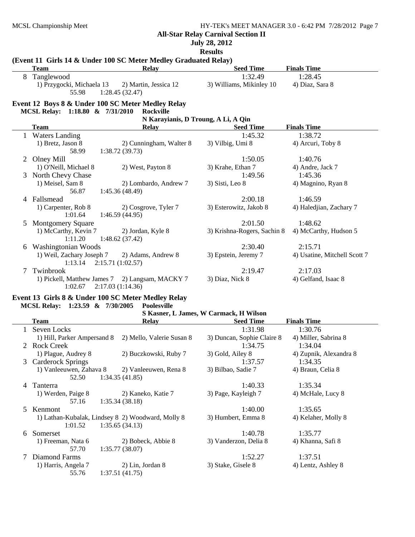## **July 28, 2012**

**Results**

|   | (Event 11 Girls 14 & Under 100 SC Meter Medley Graduated Relay) |                                         |                                        |                              |
|---|-----------------------------------------------------------------|-----------------------------------------|----------------------------------------|------------------------------|
|   | <b>Team</b>                                                     | <b>Relay</b>                            | <b>Seed Time</b>                       | <b>Finals Time</b>           |
| 8 | Tanglewood                                                      |                                         | 1:32.49                                | 1:28.45                      |
|   | 1) Przygocki, Michaela 13<br>55.98                              | 2) Martin, Jessica 12<br>1:28.45(32.47) | 3) Williams, Mikinley 10               | 4) Diaz, Sara 8              |
|   | Event 12 Boys 8 & Under 100 SC Meter Medley Relay               |                                         |                                        |                              |
|   | MCSL Relay: 1:18.80 & 7/31/2010                                 | Rockville                               |                                        |                              |
|   |                                                                 | N Karayianis, D Troung, A Li, A Qin     |                                        |                              |
|   | <b>Team</b>                                                     | Relay                                   | <b>Seed Time</b>                       | <b>Finals Time</b>           |
|   | 1 Waters Landing                                                |                                         | 1:45.32                                | 1:38.72                      |
|   | 1) Bretz, Jason 8                                               | 2) Cunningham, Walter 8                 | 3) Vilbig, Umi 8                       | 4) Arcuri, Toby 8            |
|   | 58.99                                                           | 1:38.72(39.73)                          |                                        |                              |
| 2 | Olney Mill                                                      |                                         | 1:50.05                                | 1:40.76                      |
|   | 1) O'Neill, Michael 8                                           | 2) West, Payton 8                       | 3) Krahe, Ethan 7                      | 4) Andre, Jack 7             |
| 3 | North Chevy Chase                                               |                                         | 1:49.56                                | 1:45.36                      |
|   | 1) Meisel, Sam 8                                                | 2) Lombardo, Andrew 7                   | 3) Sisti, Leo 8                        | 4) Magnino, Ryan 8           |
|   | 56.87                                                           | 1:45.36(48.49)                          |                                        |                              |
| 4 | Fallsmead                                                       |                                         | 2:00.18                                | 1:46.59                      |
|   | 1) Carpenter, Rob 8                                             | 2) Cosgrove, Tyler 7                    | 3) Esterowitz, Jakob 8                 | 4) Haledjian, Zachary 7      |
|   | 1:01.64                                                         | 1:46.59(44.95)                          |                                        |                              |
| 5 | <b>Montgomery Square</b>                                        |                                         | 2:01.50                                | 1:48.62                      |
|   | 1) McCarthy, Kevin 7                                            | 2) Jordan, Kyle 8                       | 3) Krishna-Rogers, Sachin 8            | 4) McCarthy, Hudson 5        |
|   | 1:11.20                                                         | 1:48.62(37.42)                          |                                        |                              |
|   | 6 Washingtonian Woods                                           |                                         | 2:30.40                                | 2:15.71                      |
|   | 1) Weil, Zachary Joseph 7                                       | 2) Adams, Andrew 8                      | 3) Epstein, Jeremy 7                   | 4) Usatine, Mitchell Scott 7 |
|   | $1:13.14$ $2:15.71$ $(1:02.57)$                                 |                                         |                                        |                              |
| 7 | Twinbrook                                                       |                                         | 2:19.47                                | 2:17.03                      |
|   | 1) Pickell, Matthew James 7 2) Langsam, MACKY 7                 |                                         | 3) Diaz, Nick 8                        | 4) Gelfand, Isaac 8          |
|   | 1:02.67                                                         | 2:17.03(1:14.36)                        |                                        |                              |
|   | Event 13 Girls 8 & Under 100 SC Meter Medley Relay              |                                         |                                        |                              |
|   | MCSL Relay: 1:23.59 & 7/30/2005                                 | <b>Poolesville</b>                      |                                        |                              |
|   |                                                                 |                                         | S Kasner, L James, W Carmack, H Wilson |                              |
|   | <b>Team</b>                                                     | Relay                                   | <b>Seed Time</b>                       | <b>Finals Time</b>           |
|   | 1 Seven Locks                                                   |                                         | 1:31.98                                | 1:30.76                      |
|   | 1) Hill, Parker Ampersand 8                                     | 2) Mello, Valerie Susan 8               | 3) Duncan, Sophie Claire 8             | 4) Miller, Sabrina 8         |
|   | 2 Rock Creek                                                    |                                         | 1:34.75                                | 1:34.04                      |
|   | 1) Plague, Audrey 8                                             | 2) Buczkowski, Ruby 7                   | 3) Gold, Ailey 8                       | 4) Zupnik, Alexandra 8       |
|   | 3 Carderock Springs                                             |                                         | 1:37.57                                | 1:34.35                      |
|   | 1) Vanleeuwen, Zahava 8                                         | 2) Vanleeuwen, Rena 8                   | 3) Bilbao, Sadie 7                     | 4) Braun, Celia 8            |
|   | 52.50                                                           | 1:34.35(41.85)                          |                                        |                              |
|   | 4 Tanterra                                                      |                                         | 1:40.33                                | 1:35.34                      |
|   | 1) Werden, Paige 8                                              | 2) Kaneko, Katie 7                      | 3) Page, Kayleigh 7                    | 4) McHale, Lucy 8            |
|   | 57.16                                                           | 1:35.34(38.18)                          |                                        |                              |
| 5 | Kenmont                                                         |                                         | 1:40.00                                | 1:35.65                      |
|   | 1) Lathan-Kubalak, Lindsey 8 2) Woodward, Molly 8               |                                         | 3) Humbert, Emma 8                     | 4) Kelaher, Molly 8          |
|   | 1:01.52                                                         | 1:35.65(34.13)                          |                                        |                              |
| 6 | Somerset                                                        |                                         | 1:40.78                                | 1:35.77                      |
|   | 1) Freeman, Nata 6                                              | 2) Bobeck, Abbie 8                      | 3) Vanderzon, Delia 8                  | 4) Khanna, Safi 8            |
|   | 57.70                                                           | 1:35.77(38.07)                          |                                        |                              |
| 7 | Diamond Farms                                                   |                                         | 1:52.27                                | 1:37.51                      |
|   | 1) Harris, Angela 7                                             | 2) Lin, Jordan 8                        | 3) Stake, Gisele 8                     | 4) Lentz, Ashley 8           |

55.76 1:37.51 (41.75)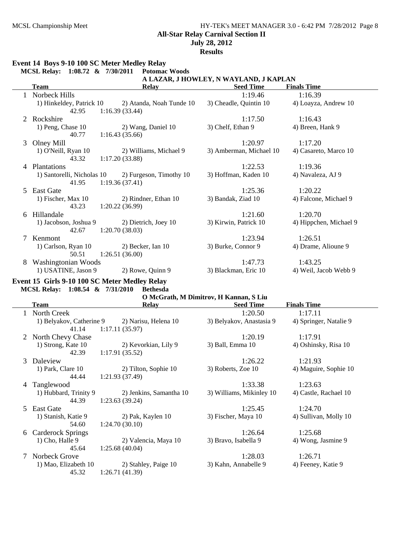## MCSL Championship Meet HY-TEK's MEET MANAGER 3.0 - 6:42 PM 7/28/2012 Page 8 **All-Star Relay Carnival Section II July 28, 2012**

**Results**

## **Event 14 Boys 9-10 100 SC Meter Medley Relay**

|    | MCSL Relay: 1:08.72 & 7/30/2011        | <b>Potomac Woods</b>                      |                         |                        |  |  |  |  |  |
|----|----------------------------------------|-------------------------------------------|-------------------------|------------------------|--|--|--|--|--|
|    | A LAZAR, J HOWLEY, N WAYLAND, J KAPLAN |                                           |                         |                        |  |  |  |  |  |
|    | <b>Team</b>                            | <b>Relay</b>                              | <b>Seed Time</b>        | <b>Finals Time</b>     |  |  |  |  |  |
|    | Norbeck Hills                          |                                           | 1:19.46                 | 1:16.39                |  |  |  |  |  |
|    | 1) Hinkeldey, Patrick 10               | 2) Atanda, Noah Tunde 10                  | 3) Cheadle, Quintin 10  | 4) Loayza, Andrew 10   |  |  |  |  |  |
|    | 42.95                                  | 1:16.39(33.44)                            |                         |                        |  |  |  |  |  |
| 2  | Rockshire                              |                                           | 1:17.50                 | 1:16.43                |  |  |  |  |  |
|    | 1) Peng, Chase 10                      | 2) Wang, Daniel 10                        | 3) Chelf, Ethan 9       | 4) Breen, Hank 9       |  |  |  |  |  |
|    | 40.77                                  | 1:16.43(35.66)                            |                         |                        |  |  |  |  |  |
| 3  | Olney Mill                             |                                           | 1:20.97                 | 1:17.20                |  |  |  |  |  |
|    | 1) O'Neill, Ryan 10<br>43.32           | 2) Williams, Michael 9<br>1:17.20(33.88)  | 3) Amberman, Michael 10 | 4) Casareto, Marco 10  |  |  |  |  |  |
| 4  | Plantations                            |                                           | 1:22.53                 | 1:19.36                |  |  |  |  |  |
|    | 1) Santorelli, Nicholas 10<br>41.95    | 2) Furgeson, Timothy 10<br>1:19.36(37.41) | 3) Hoffman, Kaden 10    | 4) Navaleza, AJ 9      |  |  |  |  |  |
| 5. | East Gate                              |                                           | 1:25.36                 | 1:20.22                |  |  |  |  |  |
|    | 1) Fischer, Max 10<br>43.23            | 2) Rindner, Ethan 10<br>1:20.22(36.99)    | 3) Bandak, Ziad 10      | 4) Falcone, Michael 9  |  |  |  |  |  |
| 6  | Hillandale                             |                                           | 1:21.60                 | 1:20.70                |  |  |  |  |  |
|    | 1) Jacobson, Joshua 9<br>42.67         | 2) Dietrich, Joey 10<br>1:20.70(38.03)    | 3) Kirwin, Patrick 10   | 4) Hippchen, Michael 9 |  |  |  |  |  |
| 7  | Kenmont                                |                                           | 1:23.94                 | 1:26.51                |  |  |  |  |  |
|    | 1) Carlson, Ryan 10<br>50.51           | 2) Becker, Ian 10<br>1:26.51(36.00)       | 3) Burke, Connor 9      | 4) Drame, Alioune 9    |  |  |  |  |  |
| 8  | Washingtonian Woods                    |                                           | 1:47.73                 | 1:43.25                |  |  |  |  |  |
|    | 1) USATINE, Jason 9                    | 2) Rowe, Quinn 9                          | 3) Blackman, Eric 10    | 4) Weil, Jacob Webb 9  |  |  |  |  |  |

## **Event 15 Girls 9-10 100 SC Meter Medley Relay MCSL Relay: 1:08.54 & 7/31/2010 Bethesda**

|  | O McGrath, M Dimitrov, H Kannan, S Liu |  |  |
|--|----------------------------------------|--|--|
|  |                                        |  |  |

|    | Team                     | <b>Relay</b>            | <b>Seed Time</b>         | <b>Finals Time</b>     |
|----|--------------------------|-------------------------|--------------------------|------------------------|
|    | North Creek              |                         | 1:20.50                  | 1:17.11                |
|    | 1) Belyakov, Catherine 9 | 2) Narisu, Helena 10    | 3) Belyakov, Anastasia 9 | 4) Springer, Natalie 9 |
|    | 41.14                    | 1:17.11(35.97)          |                          |                        |
|    | North Chevy Chase        |                         | 1:20.19                  | 1:17.91                |
|    | 1) Strong, Kate 10       | 2) Kevorkian, Lily 9    | 3) Ball, Emma 10         | 4) Oshinsky, Risa 10   |
|    | 42.39                    | 1:17.91(35.52)          |                          |                        |
| 3  | Daleview                 |                         | 1:26.22                  | 1:21.93                |
|    | 1) Park, Clare 10        | 2) Tilton, Sophie 10    | 3) Roberts, Zoe 10       | 4) Maguire, Sophie 10  |
|    | 44.44                    | 1:21.93(37.49)          |                          |                        |
| 4  | Tanglewood               |                         | 1:33.38                  | 1:23.63                |
|    | 1) Hubbard, Trinity 9    | 2) Jenkins, Samantha 10 | 3) Williams, Mikinley 10 | 4) Castle, Rachael 10  |
|    | 44.39                    | 1:23.63(39.24)          |                          |                        |
| 5. | East Gate                |                         | 1:25.45                  | 1:24.70                |
|    | 1) Stanish, Katie 9      | 2) Pak, Kaylen 10       | 3) Fischer, Maya 10      | 4) Sullivan, Molly 10  |
|    | 54.60                    | 1:24.70(30.10)          |                          |                        |
| 6  | <b>Carderock Springs</b> |                         | 1:26.64                  | 1:25.68                |
|    | 1) Cho, Halle 9          | 2) Valencia, Maya 10    | 3) Bravo, Isabella 9     | 4) Wong, Jasmine 9     |
|    | 45.64                    | 1:25.68(40.04)          |                          |                        |
|    | Norbeck Grove            |                         | 1:28.03                  | 1:26.71                |
|    | 1) Mao, Elizabeth 10     | 2) Stahley, Paige 10    | 3) Kahn, Annabelle 9     | 4) Feeney, Katie 9     |
|    | 45.32                    | 1:26.71(41.39)          |                          |                        |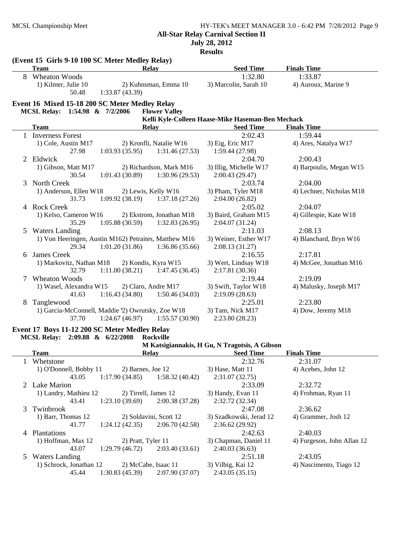**All-Star Relay Carnival Section II**

**July 28, 2012**

**Results**

|              | (Event 15 Girls 9-10 100 SC Meter Medley Relay)                        |                                                       |                                                   |                          |
|--------------|------------------------------------------------------------------------|-------------------------------------------------------|---------------------------------------------------|--------------------------|
|              | <b>Team</b>                                                            | <b>Relay</b>                                          | <b>Seed Time</b>                                  | <b>Finals Time</b>       |
| 8            | Wheaton Woods                                                          |                                                       | 1:32.80                                           | 1:33.87                  |
|              | 1) Kilmer, Julie 10<br>2) Kuhnsman, Emma 10<br>50.48<br>1:33.87(43.39) |                                                       | 3) Marcolin, Sarah 10                             | 4) Auroux, Marine 9      |
|              | Event 16 Mixed 15-18 200 SC Meter Medley Relay                         |                                                       |                                                   |                          |
|              | MCSL Relay: 1:54.98 & 7/2/2006                                         | <b>Flower Valley</b>                                  |                                                   |                          |
|              |                                                                        |                                                       | Kelli Kyle-Colleen Haase-Mike Haseman-Ben Mechack |                          |
|              | <b>Team</b>                                                            | <b>Relay</b>                                          | <b>Seed Time</b>                                  | <b>Finals Time</b>       |
| $\mathbf{1}$ | <b>Inverness Forest</b>                                                |                                                       | 2:02.43                                           | 1:59.44                  |
|              | 1) Cole, Austin M17                                                    | 2) Kronfli, Natalie W16                               | 3) Eig, Eric M17                                  | 4) Ares, Natalya W17     |
|              | 27.98                                                                  | 1:31.46(27.53)<br>1:03.93(35.95)                      | 1:59.44 (27.98)                                   |                          |
| 2            | Eldwick                                                                |                                                       | 2:04.70                                           | 2:00.43                  |
|              | 1) Gibson, Matt M17                                                    | 2) Richardson, Mark M16                               | 3) Illig, Michelle W17                            | 4) Barpoulis, Megan W15  |
|              | 30.54                                                                  | 1:30.96 (29.53)<br>1:01.43(30.89)                     | 2:00.43 (29.47)                                   |                          |
| 3            | North Creek                                                            |                                                       | 2:03.74                                           | 2:04.00                  |
|              | 1) Anderson, Ellen W18                                                 | 2) Lewis, Kelly W16                                   | 3) Pham, Tyler M18                                | 4) Lechner, Nicholas M18 |
|              | 31.73                                                                  | 1:09.92(38.19)<br>1:37.18(27.26)                      | 2:04.00(26.82)                                    |                          |
| 4            | <b>Rock Creek</b>                                                      |                                                       | 2:05.02                                           | 2:04.07                  |
|              | 1) Kelso, Cameron W16                                                  | 2) Ekstrom, Jonathan M18                              | 3) Baird, Graham M15                              | 4) Gillespie, Kate W18   |
|              | 35.29                                                                  | 1:05.88(30.59)<br>1:32.83(26.95)                      | 2:04.07 (31.24)                                   |                          |
| 5            | <b>Waters Landing</b>                                                  |                                                       | 2:11.03                                           | 2:08.13                  |
|              |                                                                        | 1) Von Heeringen, Austin M162) Petraites, Matthew M16 | 3) Weiner, Esther W17                             | 4) Blanchard, Bryn W16   |
|              | 29.34                                                                  | 1:01.20(31.86)<br>1:36.86(35.66)                      | 2:08.13 (31.27)                                   |                          |
| 6            | James Creek                                                            |                                                       | 2:16.55                                           | 2:17.81                  |
|              | 1) Markovitz, Nathan M18                                               | 2) Kondis, Kyra W15                                   | 3) Wert, Lindsay W18                              | 4) McGee, Jonathan M16   |
|              | 32.79                                                                  | 1:11.00(38.21)<br>1:47.45(36.45)                      | 2:17.81 (30.36)                                   |                          |
| 7            | <b>Wheaton Woods</b>                                                   |                                                       | 2:19.44                                           | 2:19.09                  |
|              | 1) Wasel, Alexandra W15                                                | 2) Claro, Andre M17                                   | 3) Swift, Taylor W18                              | 4) Malusky, Joseph M17   |
|              | 41.63                                                                  | 1:16.43(34.80)<br>1:50.46(34.03)                      | 2:19.09(28.63)                                    |                          |
| 8            | Tanglewood                                                             |                                                       | 2:25.01                                           | 2:23.80                  |
|              |                                                                        | 1) Garcia-McConnell, Maddie 2) Owrutsky, Zoe W18      | 3) Tam, Nick M17                                  | 4) Dow, Jeremy M18       |
|              | 37.70                                                                  | 1:55.57(30.90)<br>1:24.67(46.97)                      | 2:23.80(28.23)                                    |                          |
|              | Event 17 Boys 11-12 200 SC Meter Medley Relay                          |                                                       |                                                   |                          |
|              | MCSL Relay: 2:09.88 & 6/22/2008                                        | <b>Rockville</b>                                      |                                                   |                          |
|              |                                                                        |                                                       | M Katsigiannakis, H Gu, N Tragotsis, A Gibson     |                          |
|              | <b>Team</b>                                                            | Relay                                                 | <b>Seed Time</b>                                  | <b>Finals Time</b>       |
| 1            | Whetstone                                                              |                                                       | 2:32.76                                           | 2:31.07                  |
|              | 1) O'Donnell, Bobby 11                                                 | 2) Barnes, Joe 12                                     | 3) Hase, Matt 11                                  | 4) Acebes, John 12       |
|              | 43.05                                                                  | 1:17.90(34.85)<br>1:58.32(40.42)                      | 2:31.07 (32.75)                                   |                          |
|              | 2 Lake Marion                                                          |                                                       | 2:33.09                                           | 2:32.72                  |
|              | 1) Landry, Mathieu 12                                                  | 2) Tirrell, James 12                                  | 3) Handy, Evan 11                                 | 4) Frohman, Ryan 11      |

43.41 1:23.10 (39.69) 2:00.38 (37.28) 2:32.72 (32.34) 3 Twinbrook 2:36.62 2:47.08

1) Barr, Thomas 12 2) Soldavini, Scott 12 3) Szadkowski, Jerad 12 4) Grammer, Josh 12 41.77 1:24.12 (42.35) 2:06.70 (42.58) 2:36.62 (29.92) 4 Plantations 2:40.03 2:42.63 1) Hoffman, Max 12 2) Pratt, Tyler 11 3) Chapman, Daniel 11 4) Furgeson, John Allan 12 43.07 1:29.79 (46.72) 2:03.40 (33.61) 2:40.03 (36.63) 5 Waters Landing 2:43.05 2:51.18 1) Schrock, Jonathan 12 2) McCabe, Isaac 11 3) Vilbig, Kai 12 4) Nascimento, Tiago 12 45.44 1:30.83 (45.39) 2:07.90 (37.07) 2:43.05 (35.15)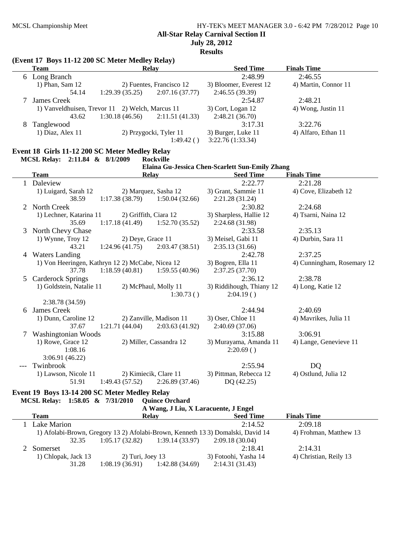**All-Star Relay Carnival Section II**

**July 28, 2012**

**Results**

|        | (Event 17 Boys 11-12 200 SC Meter Medley Relay)  |                   |                                     |                                                 |                            |
|--------|--------------------------------------------------|-------------------|-------------------------------------|-------------------------------------------------|----------------------------|
|        | <b>Team</b>                                      |                   | Relay                               | <b>Seed Time</b>                                | <b>Finals Time</b>         |
|        | 6 Long Branch                                    |                   |                                     | 2:48.99                                         | 2:46.55                    |
|        | 1) Phan, Sam 12                                  |                   | 2) Fuentes, Francisco 12            | 3) Bloomer, Everest 12                          | 4) Martin, Connor 11       |
|        | 54.14                                            | 1:29.39(35.25)    | 2:07.16(37.77)                      | 2:46.55 (39.39)                                 |                            |
|        | James Creek                                      |                   |                                     | 2:54.87                                         | 2:48.21                    |
|        | 1) Vanveldhuisen, Trevor 11 2) Welch, Marcus 11  |                   |                                     | 3) Cort, Logan 12                               | 4) Wong, Justin 11         |
|        | 43.62                                            | 1:30.18(46.56)    | 2:11.51(41.33)                      | 2:48.21 (36.70)                                 |                            |
| 8      | Tanglewood                                       |                   |                                     | 3:17.31                                         | 3:22.76                    |
|        | 1) Diaz, Alex 11                                 |                   | 2) Przygocki, Tyler 11<br>1:49.42() | 3) Burger, Luke 11<br>3:22.76 (1:33.34)         | 4) Alfaro, Ethan 11        |
|        | Event 18 Girls 11-12 200 SC Meter Medley Relay   |                   |                                     |                                                 |                            |
|        | MCSL Relay: 2:11.84 & 8/1/2009                   |                   | <b>Rockville</b>                    |                                                 |                            |
|        |                                                  |                   |                                     | Elaina Gu-Jessica Chen-Scarlett Sun-Emily Zhang |                            |
|        | <b>Team</b>                                      |                   | <b>Relay</b>                        | <b>Seed Time</b>                                | <b>Finals Time</b>         |
|        | 1 Daleview                                       |                   |                                     | 2:22.77                                         | 2:21.28                    |
|        | 1) Luigard, Sarah 12                             |                   | 2) Marquez, Sasha 12                | 3) Grant, Sammie 11                             | 4) Cove, Elizabeth 12      |
|        | 38.59                                            | 1:17.38(38.79)    | 1:50.04(32.66)                      | 2:21.28 (31.24)                                 |                            |
|        | 2 North Creek                                    |                   |                                     | 2:30.82                                         | 2:24.68                    |
|        | 1) Lechner, Katarina 11                          |                   | 2) Griffith, Ciara 12               | 3) Sharpless, Hallie 12                         | 4) Tsarni, Naina 12        |
|        | 35.69                                            | 1:17.18(41.49)    | 1:52.70(35.52)                      | 2:24.68 (31.98)                                 |                            |
|        | 3 North Chevy Chase                              |                   |                                     | 2:33.58                                         | 2:35.13                    |
|        | 1) Wynne, Troy 12                                | 2) Deye, Grace 11 |                                     | 3) Meisel, Gabi 11                              | 4) Durbin, Sara 11         |
|        | 43.21                                            | 1:24.96(41.75)    | 2:03.47(38.51)                      | 2:35.13(31.66)                                  |                            |
|        | 4 Waters Landing                                 |                   |                                     | 2:42.78                                         | 2:37.25                    |
|        | 1) Von Heeringen, Kathryn 12 2) McCabe, Nicea 12 |                   |                                     | 3) Bogren, Ella 11                              | 4) Cunningham, Rosemary 12 |
|        | 37.78                                            | 1:18.59(40.81)    | 1:59.55(40.96)                      | 2:37.25 (37.70)<br>2:36.12                      | 2:38.78                    |
|        | 5 Carderock Springs<br>1) Goldstein, Natalie 11  |                   | 2) McPhaul, Molly 11                | 3) Riddihough, Thiany 12                        |                            |
|        |                                                  |                   | 1:30.73()                           | 2:04.19()                                       | 4) Long, Katie 12          |
|        | 2:38.78 (34.59)                                  |                   |                                     |                                                 |                            |
| 6      | <b>James Creek</b>                               |                   |                                     | 2:44.94                                         | 2:40.69                    |
|        | 1) Dunn, Caroline 12                             |                   | 2) Zanville, Madison 11             | 3) Oser, Chloe 11                               | 4) Mavrikes, Julia 11      |
|        | 37.67                                            | 1:21.71(44.04)    | 2:03.63(41.92)                      | 2:40.69(37.06)                                  |                            |
| $\tau$ | Washingtonian Woods                              |                   |                                     | 3:15.88                                         | 3:06.91                    |
|        | 1) Rowe, Grace 12                                |                   | 2) Miller, Cassandra 12             | 3) Murayama, Amanda 11                          | 4) Lange, Genevieve 11     |
|        | 1:08.16                                          |                   |                                     | 2:20.69()                                       |                            |
|        | 3:06.91(46.22)                                   |                   |                                     |                                                 |                            |
|        | Twinbrook                                        |                   |                                     | 2:55.94                                         | <b>DQ</b>                  |
|        | 1) Lawson, Nicole 11                             |                   | 2) Kimiecik, Clare 11               | 3) Pittman, Rebecca 12                          | 4) Ostlund, Julia 12       |
|        | 51.91                                            | 1:49.43(57.52)    | 2:26.89 (37.46)                     | DQ (42.25)                                      |                            |
|        | Event 19 Boys 13-14 200 SC Meter Medley Relay    |                   |                                     |                                                 |                            |

**MCSL Relay: 1:58.05 & 7/31/2010 Quince Orchard**

| A Wang, J Liu, X Laracuente, J Engel |                     |                    |                 |                                                                                 |                        |  |
|--------------------------------------|---------------------|--------------------|-----------------|---------------------------------------------------------------------------------|------------------------|--|
|                                      | <b>Team</b>         | <b>Relay</b>       |                 | <b>Seed Time</b>                                                                | <b>Finals Time</b>     |  |
|                                      | Lake Marion         |                    |                 | 2:14.52                                                                         | 2:09.18                |  |
|                                      |                     |                    |                 | 1) Afolabi-Brown, Gregory 13 2) Afolabi-Brown, Kenneth 13 3) Domalski, David 14 | 4) Frohman, Matthew 13 |  |
|                                      | 32.35               | 1:05.17(32.82)     | 1:39.14 (33.97) | 2:09.18 (30.04)                                                                 |                        |  |
|                                      | Somerset            |                    |                 | 2:18.41                                                                         | 2:14.31                |  |
|                                      | 1) Chlopak, Jack 13 | $2)$ Turi, Joey 13 |                 | 3) Fotoohi, Yasha 14                                                            | 4) Christian, Reily 13 |  |
|                                      | 31.28               | 1:08.19(36.91)     | 1:42.88 (34.69) | 2:14.31(31.43)                                                                  |                        |  |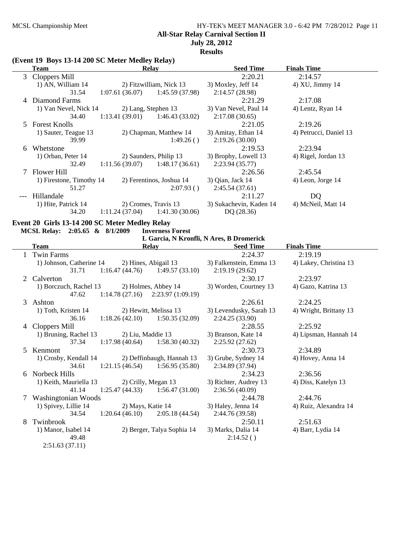## MCSL Championship Meet HY-TEK's MEET MANAGER 3.0 - 6:42 PM 7/28/2012 Page 11 **All-Star Relay Carnival Section II**

# **July 28, 2012**

**Results**

#### **(Event 19 Boys 13-14 200 SC Meter Medley Relay)**

|       | <b>Team</b><br>Relay     |                                   | <b>Seed Time</b>         | <b>Finals Time</b>      |                        |
|-------|--------------------------|-----------------------------------|--------------------------|-------------------------|------------------------|
|       | 3 Cloppers Mill          |                                   |                          | 2:20.21                 | 2:14.57                |
|       | 1) AN, William 14        |                                   | 2) Fitzwilliam, Nick 13  | 3) Moxley, Jeff 14      | $4)$ XU, Jimmy 14      |
|       | 31.54                    | $1:07.61(36.07)$ $1:45.59(37.98)$ |                          | 2:14.57(28.98)          |                        |
|       | 4 Diamond Farms          |                                   |                          | 2:21.29                 | 2:17.08                |
|       | 1) Van Nevel, Nick 14    | 2) Lang, Stephen 13               |                          | 3) Van Nevel, Paul 14   | 4) Lentz, Ryan 14      |
|       | 34.40                    | $1:13.41(39.01)$ $1:46.43(33.02)$ |                          | 2:17.08(30.65)          |                        |
|       | 5 Forest Knolls          |                                   |                          | 2:21.05                 | 2:19.26                |
|       | 1) Sauter, Teague 13     |                                   | 2) Chapman, Matthew 14   | 3) Amitay, Ethan 14     | 4) Petrucci, Daniel 13 |
|       | 39.99                    |                                   | 1:49.26()                | 2:19.26(30.00)          |                        |
| 6     | Whetstone                |                                   |                          | 2:19.53                 | 2:23.94                |
|       | 1) Orban, Peter 14       | 2) Saunders, Philip 13            |                          | 3) Brophy, Lowell 13    | 4) Rigel, Jordan 13    |
|       | 32.49                    | 1:11.56 (39.07)                   | 1:48.17 (36.61)          | 2:23.94(35.77)          |                        |
|       | 7 Flower Hill            |                                   |                          | 2:26.56                 | 2:45.54                |
|       | 1) Firestone, Timothy 14 |                                   | 2) Ferentinos, Joshua 14 | 3) Qian, Jack 14        | 4) Leon, Jorge 14      |
|       | 51.27                    |                                   | 2:07.93()                | 2:45.54(37.61)          |                        |
| $---$ | Hillandale               |                                   |                          | 2:11.27                 | DQ                     |
|       | 1) Hite, Patrick 14      |                                   | 2) Cromes, Travis 13     | 3) Sukachevin, Kaden 14 | 4) McNeil, Matt 14     |
|       | 34.20                    | 1:11.24(37.04)                    | 1:41.30(30.06)           | DQ(28.36)               |                        |

#### **Event 20 Girls 13-14 200 SC Meter Medley Relay<br>MCSL Relay: 2:05.65 & 8/1/2009 Inverness Forest MCSL Relay:** 2:05.65 & 8/1/2009

**L Garcia, N Kronfli, N Ares, B Dromerick**

|        | <b>Team</b>                  |                   | <b>Relay</b>                        | <b>Seed Time</b>                | <b>Finals Time</b>     |
|--------|------------------------------|-------------------|-------------------------------------|---------------------------------|------------------------|
|        | <b>Twin Farms</b>            |                   |                                     | 2:24.37                         | 2:19.19                |
|        | 1) Johnson, Catherine 14     |                   | 2) Hines, Abigail 13                | 3) Falkenstein, Emma 13         | 4) Lakey, Christina 13 |
|        | 31.71                        |                   | $1:16.47(44.76)$ $1:49.57(33.10)$   | 2:19.19(29.62)                  |                        |
| 2      | Calverton                    |                   |                                     | 2:30.17                         | 2:23.97                |
|        | 1) Borczuch, Rachel 13       |                   | 2) Holmes, Abbey 14                 | 3) Worden, Courtney 13          | 4) Gazo, Katrina 13    |
|        | 47.62                        |                   | $1:14.78(27.16)$ $2:23.97(1:09.19)$ |                                 |                        |
| 3      | Ashton                       |                   |                                     | 2:26.61                         | 2:24.25                |
|        | 1) Toth, Kristen 14          |                   | 2) Hewitt, Melissa 13               | 3) Levendusky, Sarah 13         | 4) Wright, Brittany 13 |
|        | 36.16                        |                   | $1:18.26(42.10)$ $1:50.35(32.09)$   | 2:24.25(33.90)                  |                        |
| 4      | Cloppers Mill                |                   |                                     | 2:28.55                         | 2:25.92                |
|        | 1) Bruning, Rachel 13        | 2) Liu, Maddie 13 |                                     | 3) Branson, Kate 14             | 4) Lipsman, Hannah 14  |
|        | 37.34                        |                   | $1:17.98(40.64)$ $1:58.30(40.32)$   | 2:25.92(27.62)                  |                        |
| 5      | Kenmont                      |                   |                                     | 2:30.73                         | 2:34.89                |
|        | 1) Crosby, Kendall 14        |                   | 2) Deffinbaugh, Hannah 13           | 3) Grube, Sydney 14             | 4) Hovey, Anna 14      |
|        | 34.61                        | 1:21.15(46.54)    | 1:56.95(35.80)                      | 2:34.89 (37.94)                 |                        |
| 6      | Norbeck Hills                |                   |                                     | 2:34.23                         | 2:36.56                |
|        | 1) Keith, Mauriella 13       |                   | 2) Crilly, Megan 13                 | 3) Richter, Audrey 13           | 4) Diss, Katelyn 13    |
|        | 41.14                        |                   | $1:25.47(44.33)$ $1:56.47(31.00)$   | 2:36.56(40.09)                  |                        |
| $\tau$ | Washingtonian Woods          |                   |                                     | 2:44.78                         | 2:44.76                |
|        | 1) Spivey, Lillie 14         | 2) Mays, Katie 14 |                                     | 3) Haley, Jenna 14              | 4) Ruiz, Alexandra 14  |
|        | 34.54                        | 1:20.64(46.10)    | 2:05.18(44.54)                      | 2:44.76 (39.58)                 |                        |
| 8      | Twinbrook                    |                   |                                     | 2:50.11                         | 2:51.63                |
|        | 1) Manor, Isabel 14<br>49.48 |                   | 2) Berger, Talya Sophia 14          | 3) Marks, Dalia 14<br>2:14.52() | 4) Barr, Lydia 14      |
|        | 2:51.63(37.11)               |                   |                                     |                                 |                        |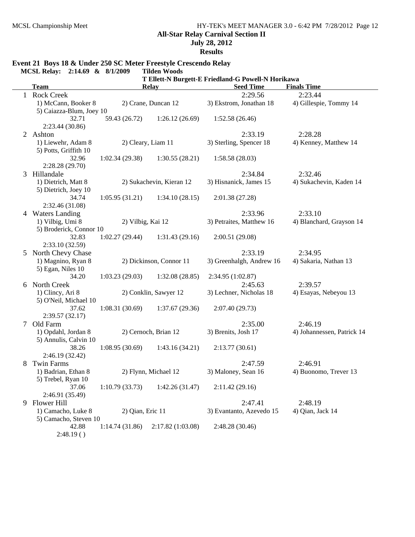**July 28, 2012**

**Results**

# **Event 21 Boys 18 & Under 250 SC Meter Freestyle Crescendo Relay**

**MCSL Relay: 2:14.69 & 8/1/2009** 

|    |                          | T Ellett-N Burgett-E Friedland-G Powell-N Horikawa |                       |                          |                            |  |  |
|----|--------------------------|----------------------------------------------------|-----------------------|--------------------------|----------------------------|--|--|
|    | <b>Team</b>              |                                                    | <b>Relay</b>          | <b>Seed Time</b>         | <b>Finals Time</b>         |  |  |
|    | 1 Rock Creek             |                                                    |                       | 2:29.56                  | 2:23.44                    |  |  |
|    | 1) McCann, Booker 8      | 2) Crane, Duncan 12                                |                       | 3) Ekstrom, Jonathan 18  | 4) Gillespie, Tommy 14     |  |  |
|    | 5) Caiazza-Blum, Joey 10 |                                                    |                       |                          |                            |  |  |
|    | 32.71                    | 59.43 (26.72)                                      | 1:26.12(26.69)        | 1:52.58(26.46)           |                            |  |  |
|    | 2:23.44 (30.86)          |                                                    |                       |                          |                            |  |  |
| 2  | Ashton                   |                                                    |                       | 2:33.19                  | 2:28.28                    |  |  |
|    | 1) Liewehr, Adam 8       | 2) Cleary, Liam 11                                 |                       | 3) Sterling, Spencer 18  | 4) Kenney, Matthew 14      |  |  |
|    | 5) Potts, Griffith 10    |                                                    |                       |                          |                            |  |  |
|    | 32.96                    | 1:02.34(29.38)                                     | 1:30.55(28.21)        | 1:58.58(28.03)           |                            |  |  |
|    | 2:28.28(29.70)           |                                                    |                       |                          |                            |  |  |
| 3  | Hillandale               |                                                    |                       | 2:34.84                  | 2:32.46                    |  |  |
|    | 1) Dietrich, Matt 8      | 2) Sukachevin, Kieran 12                           |                       | 3) Hisnanick, James 15   | 4) Sukachevin, Kaden 14    |  |  |
|    | 5) Dietrich, Joey 10     |                                                    |                       |                          |                            |  |  |
|    | 34.74                    | 1:05.95(31.21)                                     | 1:34.10(28.15)        | 2:01.38(27.28)           |                            |  |  |
|    | 2:32.46 (31.08)          |                                                    |                       |                          |                            |  |  |
| 4  | <b>Waters Landing</b>    |                                                    |                       | 2:33.96                  | 2:33.10                    |  |  |
|    | 1) Vilbig, Umi 8         | 2) Vilbig, Kai 12                                  |                       | 3) Petraites, Matthew 16 | 4) Blanchard, Grayson 14   |  |  |
|    | 5) Broderick, Connor 10  |                                                    |                       |                          |                            |  |  |
|    | 32.83                    | 1:02.27(29.44)                                     | 1:31.43(29.16)        | 2:00.51(29.08)           |                            |  |  |
|    | 2:33.10 (32.59)          |                                                    |                       |                          |                            |  |  |
| 5  | North Chevy Chase        |                                                    |                       | 2:33.19                  | 2:34.95                    |  |  |
|    | 1) Magnino, Ryan 8       | 2) Dickinson, Connor 11                            |                       | 3) Greenhalgh, Andrew 16 | 4) Sakaria, Nathan 13      |  |  |
|    | 5) Egan, Niles 10        |                                                    |                       |                          |                            |  |  |
|    | 34.20                    | 1:03.23(29.03)                                     | 1:32.08(28.85)        | 2:34.95 (1:02.87)        |                            |  |  |
| 6. | North Creek              |                                                    |                       | 2:45.63                  | 2:39.57                    |  |  |
|    | 1) Clincy, Ari 8         |                                                    | 2) Conklin, Sawyer 12 | 3) Lechner, Nicholas 18  | 4) Esayas, Nebeyou 13      |  |  |
|    | 5) O'Neil, Michael 10    |                                                    |                       |                          |                            |  |  |
|    | 37.62                    | 1:08.31(30.69)                                     | 1:37.67(29.36)        | 2:07.40(29.73)           |                            |  |  |
|    | 2:39.57(32.17)           |                                                    |                       |                          |                            |  |  |
| 7  | Old Farm                 | 2) Cernoch, Brian 12                               |                       | 2:35.00                  | 2:46.19                    |  |  |
|    | 1) Opdahl, Jordan 8      |                                                    |                       | 3) Brenits, Josh 17      | 4) Johannessen, Patrick 14 |  |  |
|    | 5) Annulis, Calvin 10    |                                                    |                       |                          |                            |  |  |
|    | 38.26                    | 1:08.95(30.69)                                     | 1:43.16(34.21)        | 2:13.77(30.61)           |                            |  |  |
|    | 2:46.19 (32.42)          |                                                    |                       |                          |                            |  |  |
| 8  | <b>Twin Farms</b>        |                                                    |                       | 2:47.59                  | 2:46.91                    |  |  |
|    | 1) Badrian, Ethan 8      | 2) Flynn, Michael 12                               |                       | 3) Maloney, Sean 16      | 4) Buonomo, Trever 13      |  |  |
|    | 5) Trebel, Ryan 10       |                                                    |                       |                          |                            |  |  |
|    | 37.06                    | 1:10.79(33.73)                                     | 1:42.26(31.47)        | 2:11.42(29.16)           |                            |  |  |
|    | 2:46.91 (35.49)          |                                                    |                       |                          |                            |  |  |
| 9  | Flower Hill              |                                                    |                       | 2:47.41                  | 2:48.19                    |  |  |
|    | 1) Camacho, Luke 8       | 2) Qian, Eric 11                                   |                       | 3) Evantanto, Azevedo 15 | 4) Qian, Jack 14           |  |  |
|    | 5) Camacho, Steven 10    |                                                    |                       |                          |                            |  |  |
|    | 42.88                    | 1:14.74(31.86)                                     | 2:17.82 (1:03.08)     | 2:48.28 (30.46)          |                            |  |  |
|    | 2:48.19()                |                                                    |                       |                          |                            |  |  |